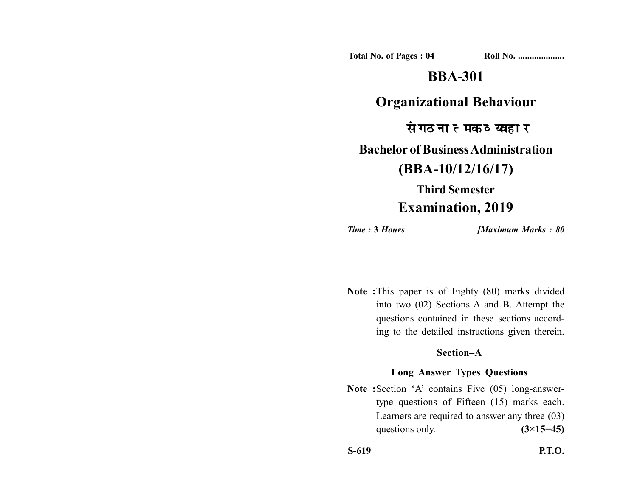**Total No. of Pages : 04 Roll No. ....................**

## **BBA-301**

### **Organizational Behaviour**

संगठनात्मक व्यवहार

### **Bachelor of Business Administration**

# **(BBA-10/12/16/17)**

# **Third Semester Examination, 2019**

*Time :* **3** *Hours [Maximum Marks : 80*

**Note :**This paper is of Eighty (80) marks divided into two (02) Sections A and B. Attempt the questions contained in these sections according to the detailed instructions given therein.

#### **Section–A**

### **Long Answer Types Questions**

Note :Section 'A' contains Five (05) long-answertype questions of Fifteen (15) marks each. Learners are required to answer any three (03) questions only.  $(3\times15=45)$ 

**S-619 P.T.O.**